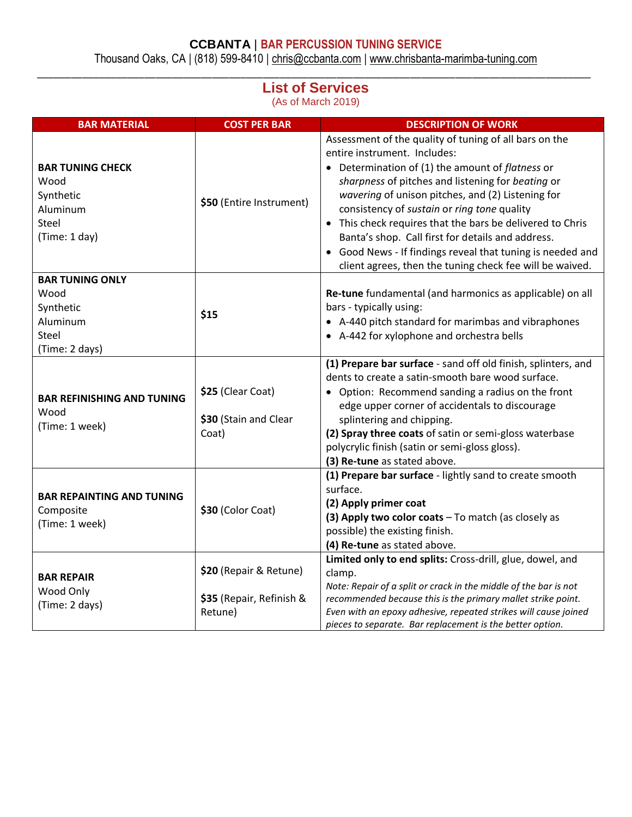## **CCBANTA** | **BAR PERCUSSION TUNING SERVICE**

Thousand Oaks, CA | (818) 599-8410 | [chris@ccbanta.com](mailto:chris@ccbanta.com) | [www.chrisbanta-marimba-tuning.com](http://www.chrisbanta-marimba-tuning.com/) \_\_\_\_\_\_\_\_\_\_\_\_\_\_\_\_\_\_\_\_\_\_\_\_\_\_\_\_\_\_\_\_\_\_\_\_\_\_\_\_\_\_\_\_\_\_\_\_\_\_\_\_\_\_\_\_\_\_\_\_\_\_\_\_\_\_\_\_\_\_\_\_\_\_\_\_\_\_\_\_\_\_\_\_\_\_\_\_\_\_\_\_\_\_\_\_\_\_

## **List of Services**

(As of March 2019)

| <b>BAR MATERIAL</b>                                                                | <b>COST PER BAR</b>                                           | <b>DESCRIPTION OF WORK</b>                                                                                                                                                                                                                                                                                                                                                                                                                                                                                                                    |
|------------------------------------------------------------------------------------|---------------------------------------------------------------|-----------------------------------------------------------------------------------------------------------------------------------------------------------------------------------------------------------------------------------------------------------------------------------------------------------------------------------------------------------------------------------------------------------------------------------------------------------------------------------------------------------------------------------------------|
| <b>BAR TUNING CHECK</b><br>Wood<br>Synthetic<br>Aluminum<br>Steel<br>(Time: 1 day) | \$50 (Entire Instrument)                                      | Assessment of the quality of tuning of all bars on the<br>entire instrument. Includes:<br>• Determination of (1) the amount of flatness or<br>sharpness of pitches and listening for beating or<br>wavering of unison pitches, and (2) Listening for<br>consistency of sustain or ring tone quality<br>• This check requires that the bars be delivered to Chris<br>Banta's shop. Call first for details and address.<br>Good News - If findings reveal that tuning is needed and<br>client agrees, then the tuning check fee will be waived. |
| <b>BAR TUNING ONLY</b><br>Wood<br>Synthetic<br>Aluminum<br>Steel<br>(Time: 2 days) | \$15                                                          | Re-tune fundamental (and harmonics as applicable) on all<br>bars - typically using:<br>• A-440 pitch standard for marimbas and vibraphones<br>• A-442 for xylophone and orchestra bells                                                                                                                                                                                                                                                                                                                                                       |
| <b>BAR REFINISHING AND TUNING</b><br>Wood<br>(Time: 1 week)                        | \$25 (Clear Coat)<br>\$30 (Stain and Clear<br>Coat)           | (1) Prepare bar surface - sand off old finish, splinters, and<br>dents to create a satin-smooth bare wood surface.<br>• Option: Recommend sanding a radius on the front<br>edge upper corner of accidentals to discourage<br>splintering and chipping.<br>(2) Spray three coats of satin or semi-gloss waterbase<br>polycrylic finish (satin or semi-gloss gloss).<br>(3) Re-tune as stated above.                                                                                                                                            |
| <b>BAR REPAINTING AND TUNING</b><br>Composite<br>(Time: 1 week)                    | \$30 (Color Coat)                                             | (1) Prepare bar surface - lightly sand to create smooth<br>surface.<br>(2) Apply primer coat<br>(3) Apply two color coats - To match (as closely as<br>possible) the existing finish.<br>(4) Re-tune as stated above.                                                                                                                                                                                                                                                                                                                         |
| <b>BAR REPAIR</b><br>Wood Only<br>(Time: 2 days)                                   | \$20 (Repair & Retune)<br>\$35 (Repair, Refinish &<br>Retune) | Limited only to end splits: Cross-drill, glue, dowel, and<br>clamp.<br>Note: Repair of a split or crack in the middle of the bar is not<br>recommended because this is the primary mallet strike point.<br>Even with an epoxy adhesive, repeated strikes will cause joined<br>pieces to separate. Bar replacement is the better option.                                                                                                                                                                                                       |